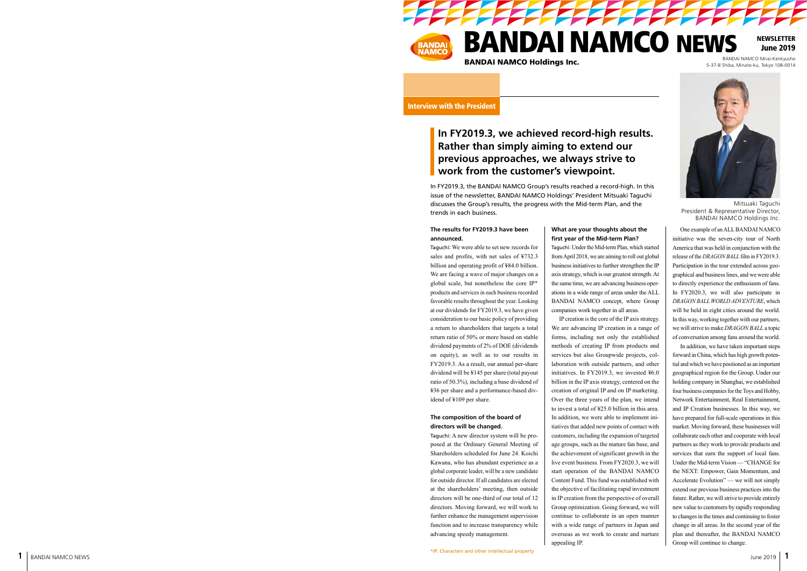

**BANDAI NAMCO NEWS** BANDAI NAMCO Holdings Inc.<br>BANDAI NAMCO Holdings Inc. BANDAI NAMCO Mirai-Kenkyusho

**PARTIES** 

**NEWSLETTER** June 2019

5-37-8 Shiba, Minato-ku, Tokyo 108-0014

Interview with the President

# **In FY2019.3, we achieved record-high results. Rather than simply aiming to extend our previous approaches, we always strive to work from the customer's viewpoint.**

In FY2019.3, the BANDAI NAMCO Group's results reached a record-high. In this issue of the newsletter, BANDAI NAMCO Holdings' President Mitsuaki Taguchi discusses the Group's results, the progress with the Mid-term Plan, and the trends in each business.

## **The results for FY2019.3 have been announced.**

Taguchi: We were able to set new records for sales and profits, with net sales of ¥732.3 billion and operating profit of ¥84.0 billion. We are facing a wave of major changes on a global scale, but nonetheless the core IP\* products and services in each business recorded favorable results throughout the year. Looking at our dividends for FY2019.3, we have given consideration to our basic policy of providing a return to shareholders that targets a total return ratio of 50% or more based on stable dividend payments of 2% of DOE (dividends on equity), as well as to our results in FY2019.3. As a result, our annual per-share dividend will be ¥145 per share (total payout ratio of 50.3%), including a base dividend of ¥36 per share and a performance-based dividend of ¥109 per share.

### **The composition of the board of directors will be changed.**

Taguchi: A new director system will be proposed at the Ordinary General Meeting of Shareholders scheduled for June 24. Koichi Kawana, who has abundant experience as a global corporate leader, will be a new candidate for outside director. If all candidates are elected at the shareholders' meeting, then outside directors will be one-third of our total of 12 directors. Moving forward, we will work to further enhance the management supervision function and to increase transparency while advancing speedy management.

## **What are your thoughts about the first year of the Mid-term Plan?**

Taguchi: Under the Mid-term Plan, which started from April 2018, we are aiming to roll out global business initiatives to further strengthen the IP axis strategy, which is our greatest strength. At the same time, we are advancing business operations in a wide range of areas under the ALL BANDAI NAMCO concept, where Group companies work together in all areas.

IP creation is the core of the IP axis strategy. We are advancing IP creation in a range of forms, including not only the established methods of creating IP from products and services but also Groupwide projects, collaboration with outside partners, and other initiatives. In FY2019.3, we invested ¥6.0 billion in the IP axis strategy, centered on the creation of original IP and on IP marketing. Over the three years of the plan, we intend to invest a total of ¥25.0 billion in this area. In addition, we were able to implement initiatives that added new points of contact with customers, including the expansion of targeted age groups, such as the mature fan base, and the achievement of significant growth in the live event business. From FY2020.3, we will start operation of the BANDAI NAMCO Content Fund. This fund was established with the objective of facilitating rapid investment in IP creation from the perspective of overall Group optimization. Going forward, we will continue to collaborate in an open manner with a wide range of partners in Japan and overseas as we work to create and nurture appealing IP.



Mitsuaki Taguchi President & Representative Director, BANDAI NAMCO Holdings Inc.

One example of an ALL BANDAI NAMCO initiative was the seven-city tour of North America that was held in conjunction with the release of the *DRAGON BALL* film in FY2019.3. Participation in the tour extended across geographical and business lines, and we were able to directly experience the enthusiasm of fans. In FY2020.3, we will also participate in *DRAGON BALL WORLD ADVENTURE*, which will be held in eight cities around the world. In this way, working together with our partners, we will strive to make *DRAGON BALL* a topic of conversation among fans around the world.

In addition, we have taken important steps forward in China, which has high growth potential and which we have positioned as an important geographical region for the Group. Under our holding company in Shanghai, we established four business companies for the Toys and Hobby, Network Entertainment, Real Entertainment, and IP Creation businesses. In this way, we have prepared for full-scale operations in this market. Moving forward, these businesses will collaborate each other and cooperate with local partners as they work to provide products and services that earn the support of local fans. Under the Mid-term Vision — "CHANGE for the NEXT: Empower, Gain Momentum, and Accelerate Evolution" — we will not simply extend our previous business practices into the future. Rather, we will strive to provide entirely new value to customers by rapidly responding to changes in the times and continuing to foster change in all areas. In the second year of the plan and thereafter, the BANDAI NAMCO Group will continue to change.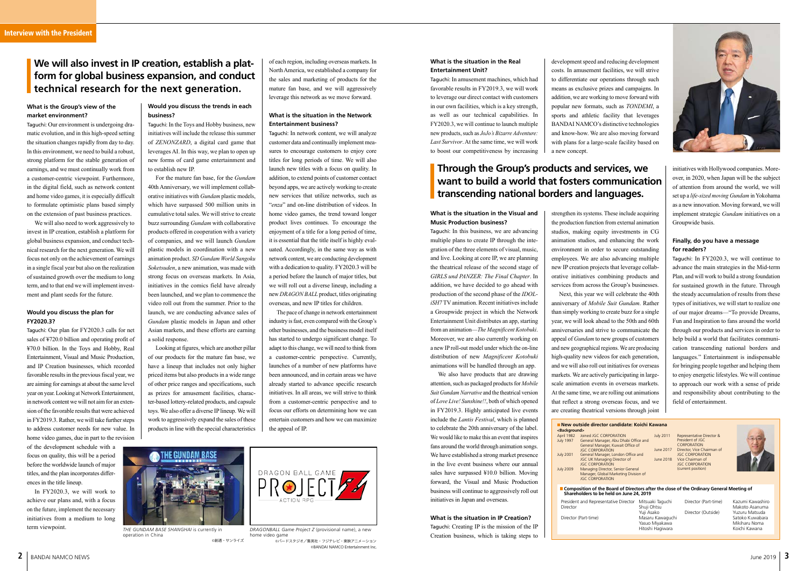# **Through the Group's products and services, we want to build a world that fosters communication transcending national borders and languages.**

#### **What is the situation in the Real Entertainment Unit?**

Taguchi: In amusement machines, which had favorable results in FY2019.3, we will work to leverage our direct contact with customers in our own facilities, which is a key strength, as well as our technical capabilities. In FY2020.3, we will continue to launch multiple new products, such as *JoJo's Bizarre Adventure: Last Survivor*. At the same time, we will work to boost our competitiveness by increasing



*DRAGONBALL Game Project Z* (provisional name), a new home video gam 。<br>©バードスタジオ/隼英社・フジテレビ・車映アニメーション

development speed and reducing development costs. In amusement facilities, we will strive to differentiate our operations through such means as exclusive prizes and campaigns. In addition, we are working to move forward with popular new formats, such as *TONDEMI*, a sports and athletic facility that leverages BANDAI NAMCO's distinctive technologies and know-how. We are also moving forward with plans for a large-scale facility based on a new concept.

©BANDAI NAMCO Entertainment Inc.

of each region, including overseas markets. In North America, we established a company for the sales and marketing of products for the mature fan base, and we will aggressively leverage this network as we move forward.

#### **What is the situation in the Network Entertainment business?**

Taguchi: In network content, we will analyze customer data and continually implement measures to encourage customers to enjoy core titles for long periods of time. We will also launch new titles with a focus on quality. In addition, to extend points of customer contact beyond apps, we are actively working to create new services that utilize networks, such as "*enza*" and on-line distribution of videos. In home video games, the trend toward longer product lives continues. To encourage the enjoyment of a title for a long period of time, it is essential that the title itself is highly evaluated. Accordingly, in the same way as with network content, we are conducting development with a dedication to quality. FY2020.3 will be a period before the launch of major titles, but we will roll out a diverse lineup, including a new *DRAGON BALL* product, titles originating overseas, and new IP titles for children.

The pace of change in network entertainment industry is fast, even compared with the Group's other businesses, and the business model itself has started to undergo significant change. To adapt to this change, we will need to think from a customer-centric perspective. Currently, launches of a number of new platforms have been announced, and in certain areas we have already started to advance specific research initiatives. In all areas, we will strive to think from a customer-centric perspective and to focus our efforts on determining how we can entertain customers and how we can maximize the appeal of IP.

## **What is the Group's view of the market environment?**

Taguchi: Our environment is undergoing dramatic evolution, and in this high-speed setting the situation changes rapidly from day to day. In this environment, we need to build a robust, strong platform for the stable generation of earnings, and we must continually work from a customer-centric viewpoint. Furthermore, in the digital field, such as network content and home video games, it is especially difficult to formulate optimistic plans based simply on the extension of past business practices.

We will also need to work aggressively to invest in IP creation, establish a platform for global business expansion, and conduct technical research for the next generation. We will focus not only on the achievement of earnings in a single fiscal year but also on the realization of sustained growth over the medium to long term, and to that end we will implement investment and plant seeds for the future.

#### **Would you discuss the plan for FY2020.3?**

Taguchi: Our plan for FY2020.3 calls for net sales of ¥720.0 billion and operating profit of ¥70.0 billion. In the Toys and Hobby, Real Entertainment, Visual and Music Production, and IP Creation businesses, which recorded favorable results in the previous fiscal year, we are aiming for earnings at about the same level year on year. Looking at Network Entertainment, in network content we will not aim for an extension of the favorable results that were achieved in FY2019.3. Rather, we will take further steps to address customer needs for new value. In home video games, due in part to the revision

of the development schedule with a focus on quality, this will be a period before the worldwide launch of major titles, and the plan incorporates differences in the title lineup.

In FY2020.3, we will work to achieve our plans and, with a focus on the future, implement the necessary initiatives from a medium to long term viewpoint.

## **Would you discuss the trends in each business?**

Taguchi: In the Toys and Hobby business, new initiatives will include the release this summer of *ZENONZARD*, a digital card game that leverages AI. In this way, we plan to open up new forms of card game entertainment and to establish new IP.

> Shuji Ohtsu Yuji Asako Director (Part-time) Masaru Kawaguchi Yasuo Miyakawa Hitoshi Hagiwara

Director (Part-time) Kazumi Kawashiro Director (Outside)

Makoto Asanuma<br>Yuzuru Matsuda Satoko Kuwabara Mikiharu Noma Koichi Kawana

For the mature fan base, for the *Gundam* 40th Anniversary, we will implement collaborative initiatives with *Gundam* plastic models, which have surpassed 500 million units in cumulative total sales. We will strive to create buzz surrounding *Gundam* with collaborative products offered in cooperation with a variety of companies, and we will launch *Gundam* plastic models in coordination with a new animation product. *SD Gundam World Sangoku Soketsuden*, a new animation, was made with strong focus on overseas markets. In Asia, initiatives in the comics field have already been launched, and we plan to commence the video roll out from the summer. Prior to the launch, we are conducting advance sales of *Gundam* plastic models in Japan and other Asian markets, and these efforts are earning a solid response.

| New outside director candidate: Koichi Kawana<br><background></background> |                                       |          |
|----------------------------------------------------------------------------|---------------------------------------|----------|
|                                                                            |                                       |          |
| April 1982                                                                 | Joined JGC CORPORATION                | July 201 |
| <b>July 1997</b>                                                           | General Manager, Abu Dhabi Office and |          |
|                                                                            | General Manager, Kuwait Office of     |          |
|                                                                            | <b>JGC CORPORATION</b>                | June 20  |
| <b>July 2001</b>                                                           | General Manager, London Office and    |          |
|                                                                            | JGC UK Managing Director of           | June 20  |
|                                                                            | <b>JGC CORPORATION</b>                |          |
| <b>July 2009</b>                                                           | Managing Director, Senior General     |          |
|                                                                            | Manager, Global Marketing Division of |          |
|                                                                            | <b>JGC CORPORATION</b>                |          |
|                                                                            |                                       |          |

**Shareholders to be held on June 24, 2019** President and Representative Director Mitsuaki Taguchi

Looking at figures, which are another pillar of our products for the mature fan base, we have a lineup that includes not only higher priced items but also products in a wide range of other price ranges and specifications, such as prizes for amusement facilities, character-based lottery-related products, and capsule toys. We also offer a diverse IP lineup. We will work to aggressively expand the sales of these products in line with the special characteristics

## **We will also invest in IP creation, establish a platform for global business expansion, and conduct technical research for the next generation.**

*THE GUNDAM BASE SHANGHAI* is currently in operation in China ©創通・サンライズ

#### **What is the situation in the Visual and Music Production business?**

Taguchi: In this business, we are advancing multiple plans to create IP through the integration of the three elements of visual, music, and live. Looking at core IP, we are planning the theatrical release of the second stage of *GIRLS und PANZER: The Final Chapter*. In addition, we have decided to go ahead with production of the second phase of the *IDOLiSH7* TV animation. Recent initiatives include a Groupwide project in which the Network Entertainment Unit distributes an app, starting from an animation—*The Magnificent Kotobuki*. Moreover, we are also currently working on a new IP roll-out model under which the on-line distribution of new *Magnificent Kotobuki* animations will be handled through an app.

We also have products that are drawing attention, such as packaged products for *Mobile Suit Gundam Narrative* and the theatrical version of *Love Live! Sunshine!!*, both of which opened in FY2019.3. Highly anticipated live events include the *Lantis Festival*, which is planned to celebrate the 20th anniversary of the label. We would like to make this an event that inspires fans around the world through animation songs. We have established a strong market presence in the live event business where our annual sales have surpassed ¥10.0 billion. Moving forward, the Visual and Music Production business will continue to aggressively roll out initiatives in Japan and overseas.

#### **What is the situation in IP Creation?** Taguchi: Creating IP is the mission of the IP Creation business, which is taking steps to

strengthen its systems. These include acquiring the production function from external animation studios, making equity investments in CG animation studios, and enhancing the work environment in order to secure outstanding employees. We are also advancing multiple new IP creation projects that leverage collaborative initiatives combining products and services from across the Group's businesses. Next, this year we will celebrate the 40th anniversary of *Mobile Suit Gundam*. Rather than simply working to create buzz for a single year, we will look ahead to the 50th and 60th anniversaries and strive to communicate the appeal of *Gundam* to new groups of customers and new geographical regions. We are producing high-quality new videos for each generation, and we will also roll out initiatives for overseas markets. We are actively participating in largescale animation events in overseas markets. At the same time, we are rolling out animations that reflect a strong overseas focus, and we

are creating theatrical versions through joint

initiatives with Hollywood companies. Moreover, in 2020, when Japan will be the subject of attention from around the world, we will set up a *life-sized moving Gundam* in Yokohama as a new innovation. Moving forward, we will implement strategic *Gundam* initiatives on a Groupwide basis.

## **Finally, do you have a message for readers?**

Taguchi: In FY2020.3, we will continue to advance the main strategies in the Mid-term Plan, and will work to build a strong foundation for sustained growth in the future. Through the steady accumulation of results from these types of initiatives, we will start to realize one of our major dreams—"To provide Dreams, Fun and Inspiration to fans around the world through our products and services in order to help build a world that facilitates communication transcending national borders and languages." Entertainment is indispensable for bringing people together and helping them to enjoy energetic lifestyles. We will continue to approach our work with a sense of pride and responsibility about contributing to the field of entertainment.

July 2011 Representative Director & President of JGC CORPORATION<br>2017 Director, Vice Ch Director, Vice Chairman of JGC CORPORATION<br>2018 Vice Chairman of Vice Chairman of **JGC CORPORATION** (current position)



■ Composition of the Board of Directors after the close of the Ordinary General Meeting of